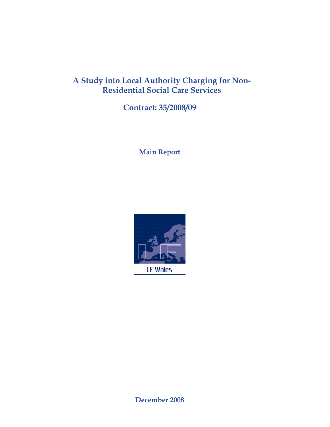# **A Study into Local Authority Charging for Non-Residential Social Care Services**

**Contract: 35/2008/09** 

**Main Report** 



**December 2008**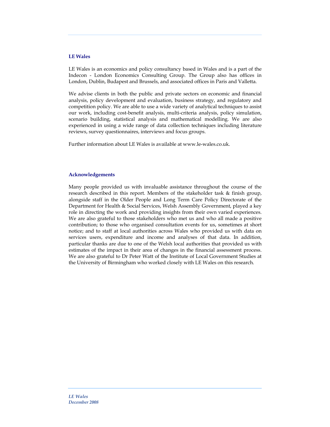#### **LE Wales**

LE Wales is an economics and policy consultancy based in Wales and is a part of the Indecon - London Economics Consulting Group. The Group also has offices in London, Dublin, Budapest and Brussels, and associated offices in Paris and Valletta.

We advise clients in both the public and private sectors on economic and financial analysis, policy development and evaluation, business strategy, and regulatory and competition policy. We are able to use a wide variety of analytical techniques to assist our work, including cost-benefit analysis, multi-criteria analysis, policy simulation, scenario building, statistical analysis and mathematical modelling. We are also experienced in using a wide range of data collection techniques including literature reviews, survey questionnaires, interviews and focus groups.

Further information about LE Wales is available at www.le-wales.co.uk.

#### **Acknowledgements**

Many people provided us with invaluable assistance throughout the course of the research described in this report. Members of the stakeholder task & finish group, alongside staff in the Older People and Long Term Care Policy Directorate of the Department for Health & Social Services, Welsh Assembly Government, played a key role in directing the work and providing insights from their own varied experiences. We are also grateful to those stakeholders who met us and who all made a positive contribution; to those who organised consultation events for us, sometimes at short notice; and to staff at local authorities across Wales who provided us with data on services users, expenditure and income and analyses of that data. In addition, particular thanks are due to one of the Welsh local authorities that provided us with estimates of the impact in their area of changes in the financial assessment process. We are also grateful to Dr Peter Watt of the Institute of Local Government Studies at the University of Birmingham who worked closely with LE Wales on this research.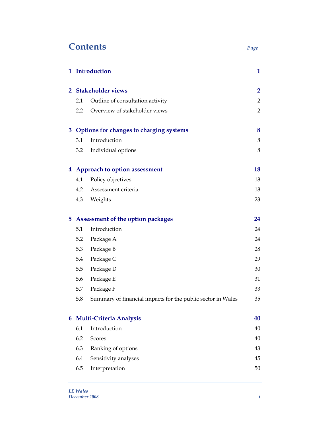# **Contents** *Page*

|    |         | 1 Introduction                                              | $\mathbf{1}$   |
|----|---------|-------------------------------------------------------------|----------------|
|    |         | 2 Stakeholder views                                         | $\overline{2}$ |
|    | 2.1     | Outline of consultation activity                            | $\overline{2}$ |
|    | $2.2\,$ | Overview of stakeholder views                               | $\overline{2}$ |
|    |         | 3 Options for changes to charging systems                   | 8              |
|    | 3.1     | Introduction                                                | 8              |
|    | 3.2     | Individual options                                          | 8              |
|    |         | 4 Approach to option assessment                             | 18             |
|    | 4.1     | Policy objectives                                           | 18             |
|    | 4.2     | Assessment criteria                                         | 18             |
|    | 4.3     | Weights                                                     | 23             |
| 5. |         | Assessment of the option packages                           | 24             |
|    | 5.1     | Introduction                                                | 24             |
|    | 5.2     | Package A                                                   | 24             |
|    | 5.3     | Package B                                                   | 28             |
|    | 5.4     | Package C                                                   | 29             |
|    | 5.5     | Package D                                                   | 30             |
|    | 5.6     | Package E                                                   | 31             |
|    | 5.7     | Package F                                                   | 33             |
|    | 5.8     | Summary of financial impacts for the public sector in Wales | 35             |
| 6  |         | <b>Multi-Criteria Analysis</b>                              | 40             |
|    | 6.1     | Introduction                                                | 40             |
|    | 6.2     | <b>Scores</b>                                               | 40             |
|    | 6.3     | Ranking of options                                          | 43             |
|    | 6.4     | Sensitivity analyses                                        | 45             |
|    | 6.5     | Interpretation                                              | 50             |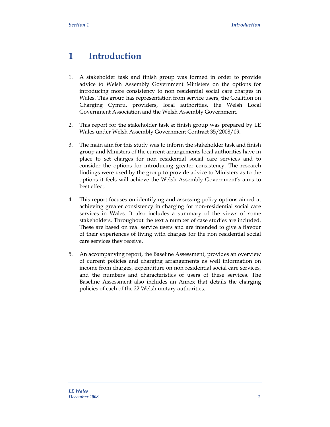# **1 Introduction**

- 1. A stakeholder task and finish group was formed in order to provide advice to Welsh Assembly Government Ministers on the options for introducing more consistency to non residential social care charges in Wales. This group has representation from service users, the Coalition on Charging Cymru, providers, local authorities, the Welsh Local Government Association and the Welsh Assembly Government.
- 2. This report for the stakeholder task & finish group was prepared by LE Wales under Welsh Assembly Government Contract 35/2008/09.
- 3. The main aim for this study was to inform the stakeholder task and finish group and Ministers of the current arrangements local authorities have in place to set charges for non residential social care services and to consider the options for introducing greater consistency. The research findings were used by the group to provide advice to Ministers as to the options it feels will achieve the Welsh Assembly Government's aims to best effect.
- 4. This report focuses on identifying and assessing policy options aimed at achieving greater consistency in charging for non-residential social care services in Wales. It also includes a summary of the views of some stakeholders. Throughout the text a number of case studies are included. These are based on real service users and are intended to give a flavour of their experiences of living with charges for the non residential social care services they receive.
- 5. An accompanying report, the Baseline Assessment, provides an overview of current policies and charging arrangements as well information on income from charges, expenditure on non residential social care services, and the numbers and characteristics of users of these services. The Baseline Assessment also includes an Annex that details the charging policies of each of the 22 Welsh unitary authorities.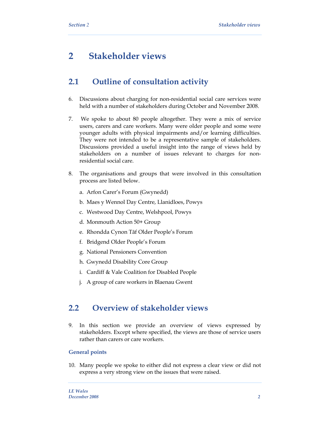# **2 Stakeholder views**

# **2.1 Outline of consultation activity**

- 6. Discussions about charging for non-residential social care services were held with a number of stakeholders during October and November 2008.
- 7. We spoke to about 80 people altogether. They were a mix of service users, carers and care workers. Many were older people and some were younger adults with physical impairments and/or learning difficulties. They were not intended to be a representative sample of stakeholders. Discussions provided a useful insight into the range of views held by stakeholders on a number of issues relevant to charges for nonresidential social care.
- 8. The organisations and groups that were involved in this consultation process are listed below.
	- a. Arfon Carer's Forum (Gwynedd)
	- b. Maes y Wennol Day Centre, Llanidloes, Powys
	- c. Westwood Day Centre, Welshpool, Powys
	- d. Monmouth Action 50+ Group
	- e. Rhondda Cynon Tâf Older People's Forum
	- f. Bridgend Older People's Forum
	- g. National Pensioners Convention
	- h. Gwynedd Disability Core Group
	- i. Cardiff & Vale Coalition for Disabled People
	- j. A group of care workers in Blaenau Gwent

# **2.2 Overview of stakeholder views**

9. In this section we provide an overview of views expressed by stakeholders. Except where specified, the views are those of service users rather than carers or care workers.

#### **General points**

10. Many people we spoke to either did not express a clear view or did not express a very strong view on the issues that were raised.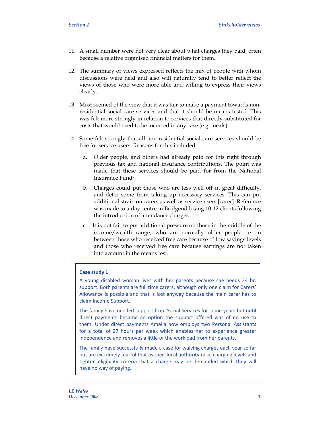- 11. A small number were not very clear about what charges they paid, often because a relative organised financial matters for them.
- 12. The summary of views expressed reflects the mix of people with whom discussions were held and also will naturally tend to better reflect the views of those who were more able and willing to express their views clearly.
- 13. Most seemed of the view that it was fair to make a payment towards nonresidential social care services and that it should be means tested. This was felt more strongly in relation to services that directly substituted for costs that would need to be incurred in any case (e.g. meals).
- 14. Some felt strongly that all non-residential social care services should be free for service users. Reasons for this included:
	- a. Older people, and others had already paid for this right through previous tax and national insurance contributions. The point was made that these services should be paid for from the National Insurance Fund;
	- b. Charges could put those who are less well off in great difficulty, and deter some from taking up necessary services. This can put additional strain on carers as well as service users [carer]. Reference was made to a day centre in Bridgend losing 10-12 clients following the introduction of attendance charges.
	- c. It is not fair to put additional pressure on those in the middle of the income/wealth range, who are normally older people i.e. in between those who received free care because of low savings levels and those who received free care because earnings are not taken into account in the means test.

#### **Case study 1**

A young disabled woman lives with her parents because she needs 24 hr. support. Both parents are full time carers, although only one claim for Carers' Allowance is possible and that is lost anyway because the main carer has to claim Income Support.

The family have needed support from Social Services for some years but until direct payments became an option the support offered was of no use to them. Under direct payments Amelia now employs two Personal Assistants for a total of 27 hours per week which enables her to experience greater independence and removes a little of the workload from her parents.

The family have successfully made a case for waiving charges each year so far but are extremely fearful that as their local authority raise charging levels and tighten eligibility criteria that a charge may be demanded which they will have no way of paying.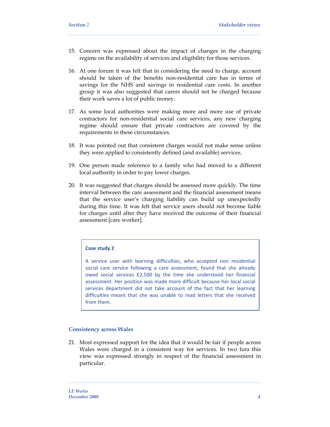- 15. Concern was expressed about the impact of changes in the charging regime on the availability of services and eligibility for those services.
- 16. At one forum it was felt that in considering the need to charge, account should be taken of the benefits non-residential care has in terms of savings for the NHS and savings in residential care costs. In another group it was also suggested that carers should not be charged because their work saves a lot of public money.
- 17. As some local authorities were making more and more use of private contractors for non-residential social care services, any new charging regime should ensure that private contractors are covered by the requirements in these circumstances.
- 18. It was pointed out that consistent charges would not make sense unless they were applied to consistently defined (and available) services.
- 19. One person made reference to a family who had moved to a different local authority in order to pay lower charges.
- 20. It was suggested that charges should be assessed more quickly. The time interval between the care assessment and the financial assessment means that the service user's charging liability can build up unexpectedly during this time. It was felt that service users should not become liable for charges until after they have received the outcome of their financial assessment [care worker].

#### **Case study 2**

A service user with learning difficulties, who accepted non residential social care service following a care assessment, found that she already owed social services £2,500 by the time she understood her financial assessment. Her position was made more difficult because her local social services department did not take account of the fact that her learning difficulties meant that she was unable to read letters that she received from them.

#### **Consistency across Wales**

21. Most expressed support for the idea that it would be fair if people across Wales were charged in a consistent way for services. In two fora this view was expressed strongly in respect of the financial assessment in particular.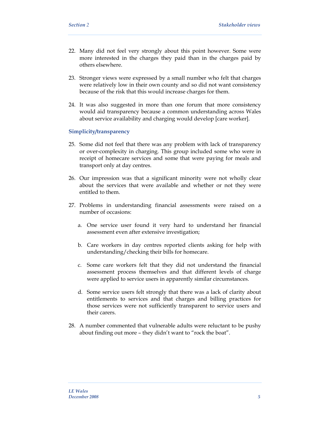- 22. Many did not feel very strongly about this point however. Some were more interested in the charges they paid than in the charges paid by others elsewhere.
- 23. Stronger views were expressed by a small number who felt that charges were relatively low in their own county and so did not want consistency because of the risk that this would increase charges for them.
- 24. It was also suggested in more than one forum that more consistency would aid transparency because a common understanding across Wales about service availability and charging would develop [care worker].

#### **Simplicity/transparency**

- 25. Some did not feel that there was any problem with lack of transparency or over-complexity in charging. This group included some who were in receipt of homecare services and some that were paying for meals and transport only at day centres.
- 26. Our impression was that a significant minority were not wholly clear about the services that were available and whether or not they were entitled to them.
- 27. Problems in understanding financial assessments were raised on a number of occasions:
	- a. One service user found it very hard to understand her financial assessment even after extensive investigation;
	- b. Care workers in day centres reported clients asking for help with understanding/checking their bills for homecare.
	- c. Some care workers felt that they did not understand the financial assessment process themselves and that different levels of charge were applied to service users in apparently similar circumstances.
	- d. Some service users felt strongly that there was a lack of clarity about entitlements to services and that charges and billing practices for those services were not sufficiently transparent to service users and their carers.
- 28. A number commented that vulnerable adults were reluctant to be pushy about finding out more – they didn't want to "rock the boat".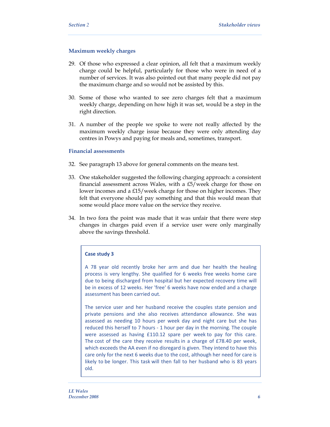#### **Maximum weekly charges**

- 29. Of those who expressed a clear opinion, all felt that a maximum weekly charge could be helpful, particularly for those who were in need of a number of services. It was also pointed out that many people did not pay the maximum charge and so would not be assisted by this.
- 30. Some of those who wanted to see zero charges felt that a maximum weekly charge, depending on how high it was set, would be a step in the right direction.
- 31. A number of the people we spoke to were not really affected by the maximum weekly charge issue because they were only attending day centres in Powys and paying for meals and, sometimes, transport.

#### **Financial assessments**

- 32. See paragraph 13 above for general comments on the means test.
- 33. One stakeholder suggested the following charging approach: a consistent financial assessment across Wales, with a £5/week charge for those on lower incomes and a £15/week charge for those on higher incomes. They felt that everyone should pay something and that this would mean that some would place more value on the service they receive.
- 34. In two fora the point was made that it was unfair that there were step changes in charges paid even if a service user were only marginally above the savings threshold.

#### **Case study 3**

A 78 year old recently broke her arm and due her health the healing process is very lengthy. She qualified for 6 weeks free weeks home care due to being discharged from hospital but her expected recovery time will be in excess of 12 weeks. Her 'free' 6 weeks have now ended and a charge assessment has been carried out.

The service user and her husband receive the couples state pension and private pensions and she also receives attendance allowance. She was assessed as needing 10 hours per week day and night care but she has reduced this herself to 7 hours ‐ 1 hour per day in the morning. The couple were assessed as having £110.12 spare per week to pay for this care. The cost of the care they receive results in a charge of £78.40 per week, which exceeds the AA even if no disregard is given. They intend to have this care only for the next 6 weeks due to the cost, although her need for care is likely to be longer. This task will then fall to her husband who is 83 years old.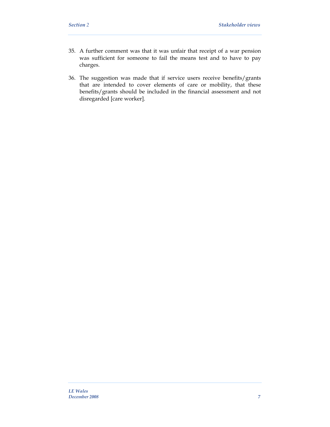- 35. A further comment was that it was unfair that receipt of a war pension was sufficient for someone to fail the means test and to have to pay charges.
- 36. The suggestion was made that if service users receive benefits/grants that are intended to cover elements of care or mobility, that these benefits/grants should be included in the financial assessment and not disregarded [care worker].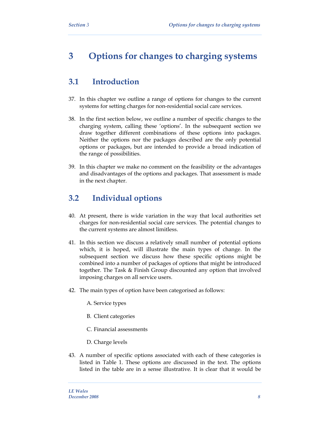# **3 Options for changes to charging systems**

# **3.1 Introduction**

- 37. In this chapter we outline a range of options for changes to the current systems for setting charges for non-residential social care services.
- 38. In the first section below, we outline a number of specific changes to the charging system, calling these 'options'. In the subsequent section we draw together different combinations of these options into packages. Neither the options nor the packages described are the only potential options or packages, but are intended to provide a broad indication of the range of possibilities.
- 39. In this chapter we make no comment on the feasibility or the advantages and disadvantages of the options and packages. That assessment is made in the next chapter.

# **3.2 Individual options**

- 40. At present, there is wide variation in the way that local authorities set charges for non-residential social care services. The potential changes to the current systems are almost limitless.
- 41. In this section we discuss a relatively small number of potential options which, it is hoped, will illustrate the main types of change. In the subsequent section we discuss how these specific options might be combined into a number of packages of options that might be introduced together. The Task & Finish Group discounted any option that involved imposing charges on all service users.
- 42. The main types of option have been categorised as follows:
	- A. Service types
	- B. Client categories
	- C. Financial assessments
	- D. Charge levels
- 43. A number of specific options associated with each of these categories is listed in Table 1. These options are discussed in the text. The options listed in the table are in a sense illustrative. It is clear that it would be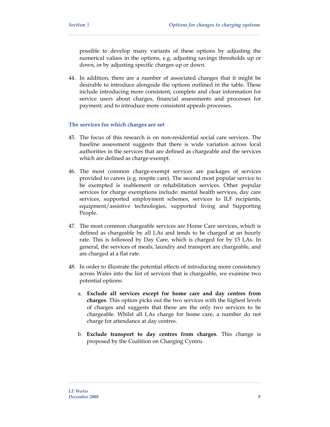possible to develop many variants of these options by adjusting the numerical values in the options, e.g. adjusting savings thresholds up or down, or by adjusting specific charges up or down.

44. In addition, there are a number of associated changes that it might be desirable to introduce alongside the options outlined in the table. These include introducing more consistent, complete and clear information for service users about charges, financial assessments and processes for payment; and to introduce more consistent appeals processes.

#### **The services for which charges are set**

- 45. The focus of this research is on non-residential social care services. The baseline assessment suggests that there is wide variation across local authorities in the services that are defined as chargeable and the services which are defined as charge-exempt.
- 46. The most common charge-exempt services are packages of services provided to carers (e.g. respite care). The second most popular service to be exempted is reablement or rehabilitation services. Other popular services for charge exemptions include: mental health services, day care services, supported employment schemes, services to ILF recipients, equipment/assistive technologies, supported living and Supporting People.
- 47. The most common chargeable services are Home Care services, which is defined as chargeable by all LAs and tends to be charged at an hourly rate. This is followed by Day Care, which is charged for by 15 LAs. In general, the services of meals, laundry and transport are chargeable, and are charged at a flat rate.
- 48. In order to illustrate the potential effects of introducing more consistency across Wales into the list of services that is chargeable, we examine two potential options:
	- a. **Exclude all services except for home care and day centres from charges**. This option picks out the two services with the highest levels of charges and suggests that these are the only two services to be chargeable. Whilst all LAs charge for home care, a number do not charge for attendance at day centres.
	- b. **Exclude transport to day centres from charges**. This change is proposed by the Coalition on Charging Cymru.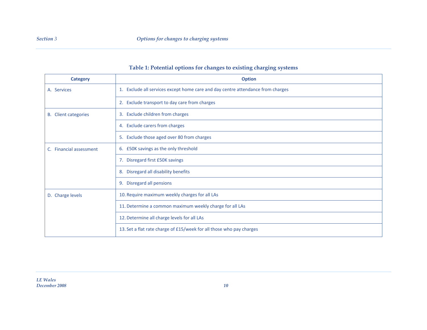### **Table 1: Potential options for changes to existing charging systems**

| Category                    | <b>Option</b>                                                                   |
|-----------------------------|---------------------------------------------------------------------------------|
| A. Services                 | 1. Exclude all services except home care and day centre attendance from charges |
|                             | 2. Exclude transport to day care from charges                                   |
| <b>B.</b> Client categories | 3. Exclude children from charges                                                |
|                             | 4. Exclude carers from charges                                                  |
|                             | 5. Exclude those aged over 80 from charges                                      |
| C. Financial assessment     | 6. £50K savings as the only threshold                                           |
|                             | 7. Disregard first £50K savings                                                 |
|                             | 8. Disregard all disability benefits                                            |
|                             | 9. Disregard all pensions                                                       |
| D. Charge levels            | 10. Require maximum weekly charges for all LAs                                  |
|                             | 11. Determine a common maximum weekly charge for all LAs                        |
|                             | 12. Determine all charge levels for all LAs                                     |
|                             | 13. Set a flat rate charge of £15/week for all those who pay charges            |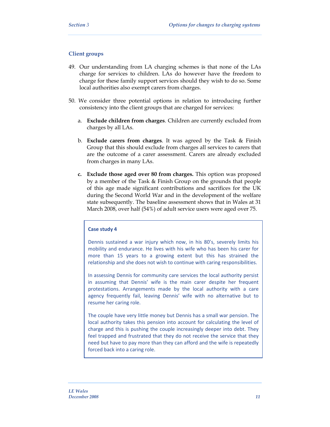#### **Client groups**

- 49. Our understanding from LA charging schemes is that none of the LAs charge for services to children. LAs do however have the freedom to charge for these family support services should they wish to do so. Some local authorities also exempt carers from charges.
- 50. We consider three potential options in relation to introducing further consistency into the client groups that are charged for services:
	- a. **Exclude children from charges**. Children are currently excluded from charges by all LAs.
	- b. **Exclude carers from charges**. It was agreed by the Task & Finish Group that this should exclude from charges all services to carers that are the outcome of a carer assessment. Carers are already excluded from charges in many LAs.
	- **c. Exclude those aged over 80 from charges.** This option was proposed by a member of the Task & Finish Group on the grounds that people of this age made significant contributions and sacrifices for the UK during the Second World War and in the development of the welfare state subsequently. The baseline assessment shows that in Wales at 31 March 2008, over half (54%) of adult service users were aged over 75.

#### **Case study 4**

Dennis sustained a war injury which now, in his 80's, severely limits his mobility and endurance. He lives with his wife who has been his carer for more than 15 years to a growing extent but this has strained the relationship and she does not wish to continue with caring responsibilities.

In assessing Dennis for community care services the local authority persist in assuming that Dennis' wife is the main carer despite her frequent protestations. Arrangements made by the local authority with a care agency frequently fail, leaving Dennis' wife with no alternative but to resume her caring role.

The couple have very little money but Dennis has a small war pension. The local authority takes this pension into account for calculating the level of charge and this is pushing the couple increasingly deeper into debt. They feel trapped and frustrated that they do not receive the service that they need but have to pay more than they can afford and the wife is repeatedly forced back into a caring role.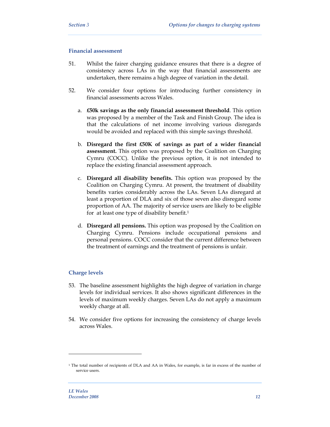#### **Financial assessment**

- 51. Whilst the fairer charging guidance ensures that there is a degree of consistency across LAs in the way that financial assessments are undertaken, there remains a high degree of variation in the detail.
- 52. We consider four options for introducing further consistency in financial assessments across Wales.
	- a. **£50k savings as the only financial assessment threshold**. This option was proposed by a member of the Task and Finish Group. The idea is that the calculations of net income involving various disregards would be avoided and replaced with this simple savings threshold.
	- b. **Disregard the first £50K of savings as part of a wider financial assessment.** This option was proposed by the Coalition on Charging Cymru (COCC). Unlike the previous option, it is not intended to replace the existing financial assessment approach.
	- c. **Disregard all disability benefits.** This option was proposed by the Coalition on Charging Cymru. At present, the treatment of disability benefits varies considerably across the LAs. Seven LAs disregard at least a proportion of DLA and six of those seven also disregard some proportion of AA. The majority of service users are likely to be eligible for at least one type of disability benefit.<sup>1</sup>
	- d. **Disregard all pensions.** This option was proposed by the Coalition on Charging Cymru. Pensions include occupational pensions and personal pensions. COCC consider that the current difference between the treatment of earnings and the treatment of pensions is unfair.

#### **Charge levels**

- 53. The baseline assessment highlights the high degree of variation in charge levels for individual services. It also shows significant differences in the levels of maximum weekly charges. Seven LAs do not apply a maximum weekly charge at all.
- 54. We consider five options for increasing the consistency of charge levels across Wales.

<sup>1</sup> The total number of recipients of DLA and AA in Wales, for example, is far in excess of the number of service users.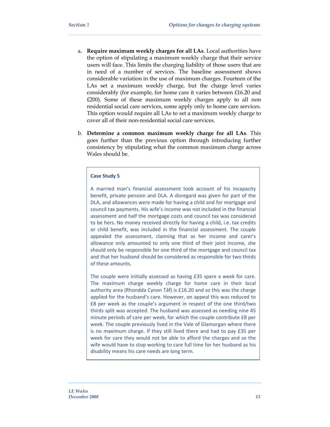- a. **Require maximum weekly charges for all LAs**. Local authorities have the option of stipulating a maximum weekly charge that their service users will face. This limits the charging liability of those users that are in need of a number of services. The baseline assessment shows considerable variation in the use of maximum charges. Fourteen of the LAs set a maximum weekly charge, but the charge level varies considerably (for example, for home care it varies between £16.20 and £200). Some of these maximum weekly charges apply to all non residential social care services, some apply only to home care services. This option would require all LAs to set a maximum weekly charge to cover all of their non-residential social care services.
- b. **Determine a common maximum weekly charge for all LAs**. This goes further than the previous option through introducing further consistency by stipulating what the common maximum charge across Wales should be.

#### **Case Study 5**

A married man's financial assessment took account of his incapacity benefit, private pension and DLA. A disregard was given for part of the DLA, and allowances were made for having a child and for mortgage and council tax payments. His wife's income was not included in the financial assessment and half the mortgage costs and council tax was considered to be hers. No money received directly for having a child, i.e. tax credits or child benefit, was included in the financial assessment. The couple appealed the assessment, claiming that as her income and carer's allowance only amounted to only one third of their joint income, she should only be responsible for one third of the mortgage and council tax and that her husband should be considered as responsible for two thirds of these amounts.

The couple were initially assessed as having £35 spare a week for care. The maximum charge weekly charge for home care in their local authority area (Rhondda Cynon Tâf) is £16.20 and so this was the charge applied for the husband's care. However, on appeal this was reduced to £8 per week as the couple's argument in respect of the one third/two thirds split was accepted. The husband was assessed as needing nine 45 minute periods of care per week, for which the couple contribute £8 per week. The couple previously lived in the Vale of Glamorgan where there is no maximum charge. If they still lived there and had to pay £35 per week for care they would not be able to afford the charges and so the wife would have to stop working to care full time for her husband as his disability means his care needs are long term.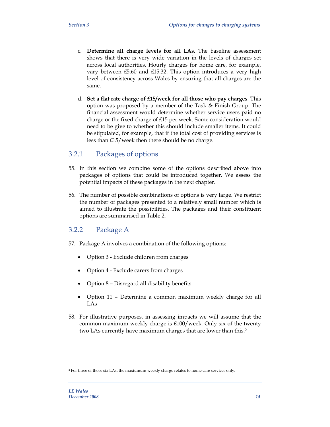- c. **Determine all charge levels for all LAs**. The baseline assessment shows that there is very wide variation in the levels of charges set across local authorities. Hourly charges for home care, for example, vary between £5.60 and £15.32. This option introduces a very high level of consistency across Wales by ensuring that all charges are the same.
- d. **Set a flat rate charge of £15/week for all those who pay charges**. This option was proposed by a member of the Task & Finish Group. The financial assessment would determine whether service users paid no charge or the fixed charge of £15 per week. Some consideration would need to be give to whether this should include smaller items. It could be stipulated, for example, that if the total cost of providing services is less than £15/week then there should be no charge.

### 3.2.1 Packages of options

- 55. In this section we combine some of the options described above into packages of options that could be introduced together. We assess the potential impacts of these packages in the next chapter.
- 56. The number of possible combinations of options is very large. We restrict the number of packages presented to a relatively small number which is aimed to illustrate the possibilities. The packages and their constituent options are summarised in Table 2.

### 3.2.2 Package A

- 57. Package A involves a combination of the following options:
	- Option 3 Exclude children from charges
	- Option 4 Exclude carers from charges
	- Option 8 Disregard all disability benefits
	- Option 11 Determine a common maximum weekly charge for all LAs
- 58. For illustrative purposes, in assessing impacts we will assume that the common maximum weekly charge is £100/week. Only six of the twenty two LAs currently have maximum charges that are lower than this.2

<sup>2</sup> For three of those six LAs, the maxiumum weekly charge relates to home care services only.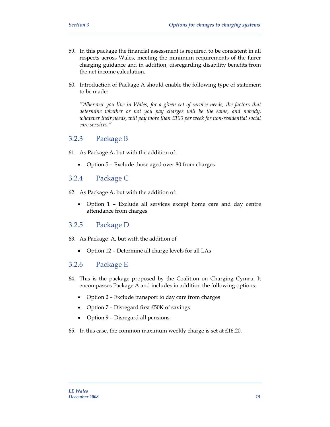- 59. In this package the financial assessment is required to be consistent in all respects across Wales, meeting the minimum requirements of the fairer charging guidance and in addition, disregarding disability benefits from the net income calculation.
- 60. Introduction of Package A should enable the following type of statement to be made:

*"Wherever you live in Wales, for a given set of service needs, the factors that determine whether or not you pay charges will be the same, and nobody, whatever their needs, will pay more than £100 per week for non-residential social care services."* 

### 3.2.3 Package B

- 61. As Package A, but with the addition of:
	- Option 5 Exclude those aged over 80 from charges

### 3.2.4 Package C

- 62. As Package A, but with the addition of:
	- Option 1 Exclude all services except home care and day centre attendance from charges

### 3.2.5 Package D

- 63. As Package A, but with the addition of
	- Option 12 Determine all charge levels for all LAs

### 3.2.6 Package E

- 64. This is the package proposed by the Coalition on Charging Cymru. It encompasses Package A and includes in addition the following options:
	- Option 2 Exclude transport to day care from charges
	- Option 7 Disregard first £50K of savings
	- Option 9 Disregard all pensions
- 65. In this case, the common maximum weekly charge is set at  $£16.20$ .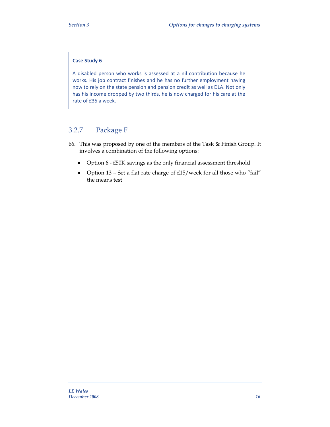#### **Case Study 6**

A disabled person who works is assessed at a nil contribution because he works. His job contract finishes and he has no further employment having now to rely on the state pension and pension credit as well as DLA. Not only has his income dropped by two thirds, he is now charged for his care at the rate of £35 a week.

### 3.2.7 Package F

- 66. This was proposed by one of the members of the Task & Finish Group. It involves a combination of the following options:
	- Option 6 £50K savings as the only financial assessment threshold
	- Option 13 Set a flat rate charge of £15/week for all those who "fail" the means test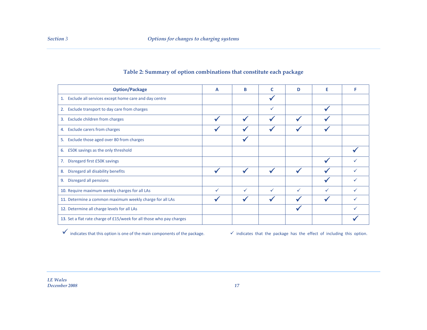| <b>Option/Package</b>                                                | A | в | C | D | Е            |   |
|----------------------------------------------------------------------|---|---|---|---|--------------|---|
| 1. Exclude all services except home care and day centre              |   |   |   |   |              |   |
| Exclude transport to day care from charges<br>2.                     |   |   | ✓ |   |              |   |
| 3. Exclude children from charges                                     |   |   |   |   |              |   |
| 4. Exclude carers from charges                                       |   |   |   |   |              |   |
| Exclude those aged over 80 from charges<br>5.                        |   |   |   |   |              |   |
| £50K savings as the only threshold<br>6.                             |   |   |   |   |              |   |
| 7. Disregard first £50K savings                                      |   |   |   |   |              |   |
| Disregard all disability benefits<br>8.                              |   |   |   |   |              |   |
| Disregard all pensions<br>9.                                         |   |   |   |   |              |   |
| 10. Require maximum weekly charges for all LAs                       | ✓ | ✓ | ✓ | ✓ | $\checkmark$ |   |
| 11. Determine a common maximum weekly charge for all LAs             |   |   |   |   |              |   |
| 12. Determine all charge levels for all LAs                          |   |   |   |   |              | ✓ |
| 13. Set a flat rate charge of £15/week for all those who pay charges |   |   |   |   |              |   |

### **Table 2: Summary of option combinations that constitute each package**

 $\checkmark$  indicates that this option is one of the main components of the package.  $\checkmark$  indicates that the package has the effect of including this option.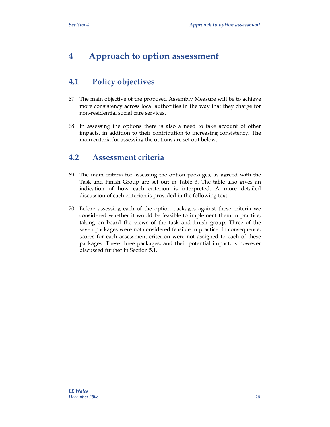# **4 Approach to option assessment**

# **4.1 Policy objectives**

- 67. The main objective of the proposed Assembly Measure will be to achieve more consistency across local authorities in the way that they charge for non-residential social care services.
- 68. In assessing the options there is also a need to take account of other impacts, in addition to their contribution to increasing consistency. The main criteria for assessing the options are set out below.

# **4.2 Assessment criteria**

- 69. The main criteria for assessing the option packages, as agreed with the Task and Finish Group are set out in Table 3. The table also gives an indication of how each criterion is interpreted. A more detailed discussion of each criterion is provided in the following text.
- 70. Before assessing each of the option packages against these criteria we considered whether it would be feasible to implement them in practice, taking on board the views of the task and finish group. Three of the seven packages were not considered feasible in practice. In consequence, scores for each assessment criterion were not assigned to each of these packages. These three packages, and their potential impact, is however discussed further in Section 5.1.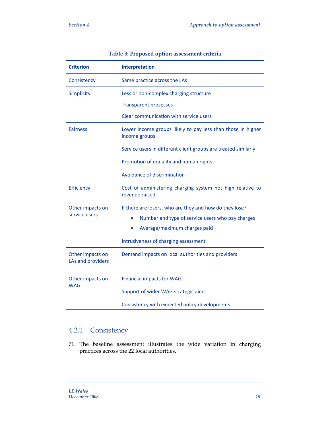| <b>Criterion</b>                      | Interpretation                                                               |
|---------------------------------------|------------------------------------------------------------------------------|
| Consistency                           | Same practice across the LAs                                                 |
| Simplicity                            | Less or non-complex charging structure                                       |
|                                       | <b>Transparent processes</b>                                                 |
|                                       | Clear communication with service users                                       |
| <b>Fairness</b>                       | Lower income groups likely to pay less than those in higher<br>income groups |
|                                       | Service users in different client groups are treated similarly               |
|                                       | Promotion of equality and human rights                                       |
|                                       | Avoidance of discrimination                                                  |
| Efficiency                            | Cost of administering charging system not high relative to<br>revenue raised |
| Other impacts on                      | If there are losers, who are they and how do they lose?                      |
| service users                         | Number and type of service users who pay charges                             |
|                                       | Average/maximum charges paid                                                 |
|                                       | Intrusiveness of charging assessment                                         |
| Other impacts on<br>LAs and providers | Demand impacts on local authorities and providers                            |
| Other impacts on                      | <b>Financial impacts for WAG</b>                                             |
| <b>WAG</b>                            | Support of wider WAG strategic aims                                          |
|                                       | Consistency with expected policy developments                                |

### **Table 3: Proposed option assessment criteria**

# 4.2.1 Consistency

71. The baseline assessment illustrates the wide variation in charging practices across the 22 local authorities.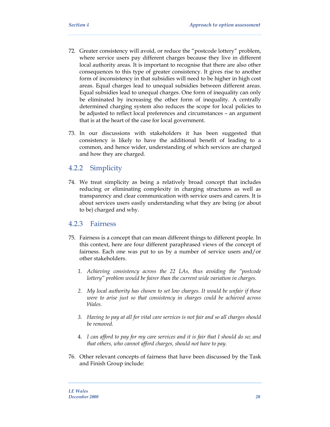- 72. Greater consistency will avoid, or reduce the "postcode lottery" problem, where service users pay different charges because they live in different local authority areas. It is important to recognise that there are also other consequences to this type of greater consistency. It gives rise to another form of inconsistency in that subsidies will need to be higher in high cost areas. Equal charges lead to unequal subsidies between different areas. Equal subsidies lead to unequal charges. One form of inequality can only be eliminated by increasing the other form of inequality. A centrally determined charging system also reduces the scope for local policies to be adjusted to reflect local preferences and circumstances – an argument that is at the heart of the case for local government.
- 73. In our discussions with stakeholders it has been suggested that consistency is likely to have the additional benefit of leading to a common, and hence wider, understanding of which services are charged and how they are charged.

### 4.2.2 Simplicity

74. We treat simplicity as being a relatively broad concept that includes reducing or eliminating complexity in charging structures as well as transparency and clear communication with service users and carers. It is about services users easily understanding what they are being (or about to be) charged and why.

### 4.2.3 Fairness

- 75. Fairness is a concept that can mean different things to different people. In this context, here are four different paraphrased views of the concept of fairness. Each one was put to us by a number of service users and/or other stakeholders.
	- *1. Achieving consistency across the 22 LAs, thus avoiding the "postcode lottery" problem would be fairer than the current wide variation in charges.*
	- *2. My local authority has chosen to set low charges. It would be unfair if these were to arise just so that consistency in charges could be achieved across Wales.*
	- *3. Having to pay at all for vital care services is not fair and so all charges should be removed.*
	- 4. *I can afford to pay for my care services and it is fair that I should do so; and that others, who cannot afford charges, should not have to pay.*
- 76. Other relevant concepts of fairness that have been discussed by the Task and Finish Group include: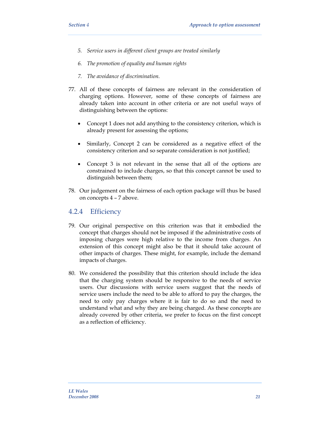- *5. Service users in different client groups are treated similarly*
- *6. The promotion of equality and human rights*
- *7. The avoidance of discrimination.*
- 77. All of these concepts of fairness are relevant in the consideration of charging options. However, some of these concepts of fairness are already taken into account in other criteria or are not useful ways of distinguishing between the options:
	- Concept 1 does not add anything to the consistency criterion, which is already present for assessing the options;
	- Similarly, Concept 2 can be considered as a negative effect of the consistency criterion and so separate consideration is not justified;
	- Concept 3 is not relevant in the sense that all of the options are constrained to include charges, so that this concept cannot be used to distinguish between them;
- 78. Our judgement on the fairness of each option package will thus be based on concepts 4 – 7 above.

### 4.2.4 Efficiency

- 79. Our original perspective on this criterion was that it embodied the concept that charges should not be imposed if the administrative costs of imposing charges were high relative to the income from charges. An extension of this concept might also be that it should take account of other impacts of charges. These might, for example, include the demand impacts of charges.
- 80. We considered the possibility that this criterion should include the idea that the charging system should be responsive to the needs of service users. Our discussions with service users suggest that the needs of service users include the need to be able to afford to pay the charges, the need to only pay charges where it is fair to do so and the need to understand what and why they are being charged. As these concepts are already covered by other criteria, we prefer to focus on the first concept as a reflection of efficiency.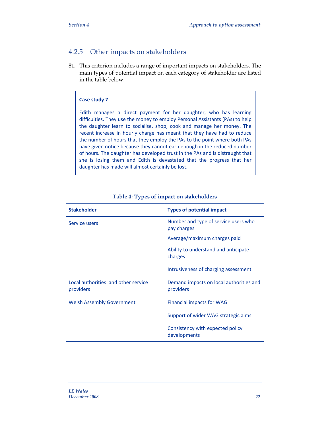### 4.2.5 Other impacts on stakeholders

81. This criterion includes a range of important impacts on stakeholders. The main types of potential impact on each category of stakeholder are listed in the table below.

#### **Case study 7**

Edith manages a direct payment for her daughter, who has learning difficulties. They use the money to employ Personal Assistants (PAs) to help the daughter learn to socialise, shop, cook and manage her money. The recent increase in hourly charge has meant that they have had to reduce the number of hours that they employ the PAs to the point where both PAs have given notice because they cannot earn enough in the reduced number of hours. The daughter has developed trust in the PAs and is distraught that she is losing them and Edith is devastated that the progress that her daughter has made will almost certainly be lost.

| <b>Stakeholder</b>                               | <b>Types of potential impact</b>                     |
|--------------------------------------------------|------------------------------------------------------|
| Service users                                    | Number and type of service users who<br>pay charges  |
|                                                  | Average/maximum charges paid                         |
|                                                  | Ability to understand and anticipate<br>charges      |
|                                                  | Intrusiveness of charging assessment                 |
| Local authorities and other service<br>providers | Demand impacts on local authorities and<br>providers |
| <b>Welsh Assembly Government</b>                 | <b>Financial impacts for WAG</b>                     |
|                                                  | Support of wider WAG strategic aims                  |
|                                                  | Consistency with expected policy<br>developments     |

#### **Table 4: Types of impact on stakeholders**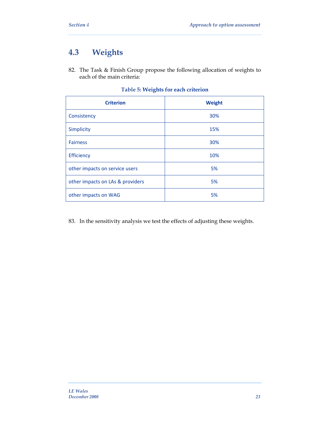# **4.3 Weights**

82. The Task & Finish Group propose the following allocation of weights to each of the main criteria:

| <b>Criterion</b>                 | Weight |
|----------------------------------|--------|
| Consistency                      | 30%    |
| <b>Simplicity</b>                | 15%    |
| <b>Fairness</b>                  | 30%    |
| Efficiency                       | 10%    |
| other impacts on service users   | 5%     |
| other impacts on LAs & providers | 5%     |
| other impacts on WAG             | 5%     |

### **Table 5: Weights for each criterion**

83. In the sensitivity analysis we test the effects of adjusting these weights.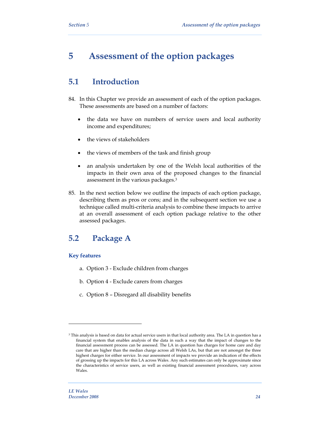# **5 Assessment of the option packages**

# **5.1 Introduction**

- 84. In this Chapter we provide an assessment of each of the option packages. These assessments are based on a number of factors:
	- the data we have on numbers of service users and local authority income and expenditures;
	- the views of stakeholders
	- the views of members of the task and finish group
	- an analysis undertaken by one of the Welsh local authorities of the impacts in their own area of the proposed changes to the financial assessment in the various packages.3
- 85. In the next section below we outline the impacts of each option package, describing them as pros or cons; and in the subsequent section we use a technique called multi-criteria analysis to combine these impacts to arrive at an overall assessment of each option package relative to the other assessed packages.

# **5.2 Package A**

#### **Key features**

- a. Option 3 Exclude children from charges
- b. Option 4 Exclude carers from charges
- c. Option 8 Disregard all disability benefits

<sup>3</sup> This analysis is based on data for actual service users in that local authority area. The LA in question has a financial system that enables analysis of the data in such a way that the impact of changes to the financial assessment process can be assessed. The LA in question has charges for home care and day care that are higher than the median charge across all Welsh LAs, but that are not amongst the three highest charges for either service. In our assessment of impacts we provide an indication of the effects of grossing up the impacts for this LA across Wales. Any such estimates can only be approximate since the characteristics of service users, as well as existing financial assessment procedures, vary across Wales.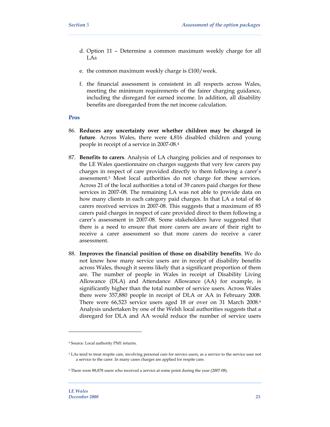- d. Option 11 Determine a common maximum weekly charge for all LAs
- e. the common maximum weekly charge is £100/week.
- f. the financial assessment is consistent in all respects across Wales, meeting the minimum requirements of the fairer charging guidance, including the disregard for earned income. In addition, all disability benefits are disregarded from the net income calculation.

#### **Pros**

- 86. **Reduces any uncertainty over whether children may be charged in future**. Across Wales, there were 4,816 disabled children and young people in receipt of a service in 2007-08.4
- 87. **Benefits to carers**. Analysis of LA charging policies and of responses to the LE Wales questionnaire on charges suggests that very few carers pay charges in respect of care provided directly to them following a carer's assessment.5 Most local authorities do not charge for these services. Across 21 of the local authorities a total of 39 carers paid charges for these services in 2007-08. The remaining LA was not able to provide data on how many clients in each category paid charges. In that LA a total of 46 carers received services in 2007-08. This suggests that a maximum of 85 carers paid charges in respect of care provided direct to them following a carer's assessment in 2007-08. Some stakeholders have suggested that there is a need to ensure that more carers are aware of their right to receive a carer assessment so that more carers do receive a carer assessment.
- 88. **Improves the financial position of those on disability benefits**. We do not know how many service users are in receipt of disability benefits across Wales, though it seems likely that a significant proportion of them are. The number of people in Wales in receipt of Disability Living Allowance (DLA) and Attendance Allowance (AA) for example, is significantly higher than the total number of service users. Across Wales there were 357,880 people in receipt of DLA or AA in February 2008. There were 66,523 service users aged 18 or over on 31 March 2008.6 Analysis undertaken by one of the Welsh local authorities suggests that a disregard for DLA and AA would reduce the number of service users

<sup>4</sup> Source: Local authority PM1 returns.

<sup>5</sup> LAs tend to treat respite care, involving personal care for service users, as a service to the service user not a service to the carer. In many cases charges are applied for respite care.

<sup>6</sup> There were 88,878 users who received a service at some point during the year (2007-08).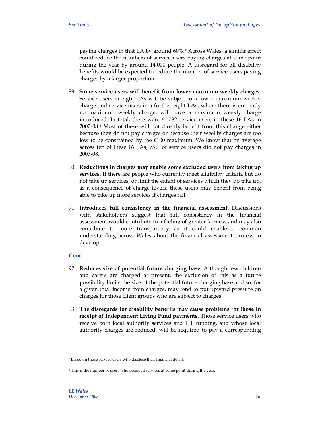paying charges in that LA by around 60%.7 Across Wales, a similar effect could reduce the numbers of service users paying charges at some point during the year by around 14,000 people. A disregard for all disability benefits would be expected to reduce the number of service users paying charges by a larger proportion.

- 89. S**ome service users will benefit from lower maximum weekly charges**. Service users in eight LAs will be subject to a lower maximum weekly charge and service users in a further eight LAs, where there is currently no maximum weekly charge, will have a maximum weekly charge introduced. In total, there were 61,082 service users in these 16 LAs in 2007-08.8 Most of these will not directly benefit from this change either because they do not pay charges or because their weekly charges are too low to be constrained by the £100 maximum. We know that on average across ten of these 16 LAs, 75% of service users did not pay charges in 2007-08.
- 90. **Reductions in charges may enable some excluded users from taking up services.** If there are people who currently meet eligibility criteria but do not take up services, or limit the extent of services which they do take up, as a consequence of charge levels, these users may benefit from being able to take up more services if charges fall.
- 91. **Introduces full consistency in the financial assessment.** Discussions with stakeholders suggest that full consistency in the financial assessment would contribute to a feeling of greater fairness and may also contribute to more transparency as it could enable a common understanding across Wales about the financial assessment process to develop.

#### **Cons**

- 92. **Reduces size of potential future charging base**. Although few children and carers are charged at present, the exclusion of this as a future possibility limits the size of the potential future charging base and so, for a given total income from charges, may tend to put upward pressure on charges for those client groups who are subject to charges.
- 93. **The disregards for disability benefits may cause problems for those in receipt of Independent Living Fund payments**. Those service users who receive both local authority services and ILF funding, and whose local authority charges are reduced, will be required to pay a corresponding

<sup>7</sup> Based on those service users who disclose their financial details.

<sup>8</sup> This is the number of users who accessed services at some point during the year.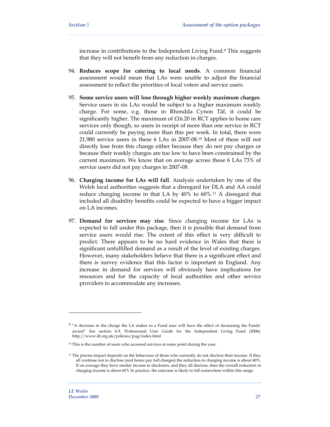increase in contributions to the Independent Living Fund.9 This suggests that they will not benefit from any reduction in charges.

- 94. **Reduces scope for catering to local needs**. A common financial assessment would mean that LAs were unable to adjust the financial assessment to reflect the priorities of local voters and service users.
- 95. **Some service users will lose through higher weekly maximum charges**. Service users in six LAs would be subject to a higher maximum weekly charge. For some, e.g. those in Rhondda Cynon Tâf, it could be significantly higher. The maximum of £16.20 in RCT applies to home care services only though, so users in receipt of more than one service in RCT could currently be paying more than this per week. In total, there were 21,980 service users in these 6 LAs in 2007-08.10 Most of these will not directly lose from this change either because they do not pay charges or because their weekly charges are too low to have been constrained by the current maximum. We know that on average across these 6 LAs 73% of service users did not pay charges in 2007-08.
- 96. **Charging income for LAs will fall**. Analysis undertaken by one of the Welsh local authorities suggests that a disregard for DLA and AA could reduce charging income in that LA by 40% to 60%.11 A disregard that included all disability benefits could be expected to have a bigger impact on LA incomes.
- 97. **Demand for services may rise**. Since charging income for LAs is expected to fall under this package, then it is possible that demand from service users would rise. The extent of this effect is very difficult to predict. There appears to be no hard evidence in Wales that there is significant unfulfilled demand as a result of the level of existing charges. However, many stakeholders believe that there is a significant effect and there is survey evidence that this factor is important in England. Any increase in demand for services will obviously have implications for resources and for the capacity of local authorities and other service providers to accommodate any increases.

<sup>9 &</sup>quot;A decrease in the charge the LA makes to a Fund user will have the effect of decreasing the Funds' award" See section 6.9, Professional User Guide for the Independent Living Fund (2006). http://www.ilf.org.uk/policies/pug/index.html

<sup>&</sup>lt;sup>10</sup> This is the number of users who accessed services at some point during the year.

<sup>11</sup> The precise impact depends on the behaviour of those who currently do not disclose their income. If they all continue not to disclose (and hence pay full charges) the reduction in charging income is about 40%. If on average they have similar income to disclosers, and they all disclose, then the overall reduction in charging income is about 60% In practice, the outcome is likely to fall somewhere within this range.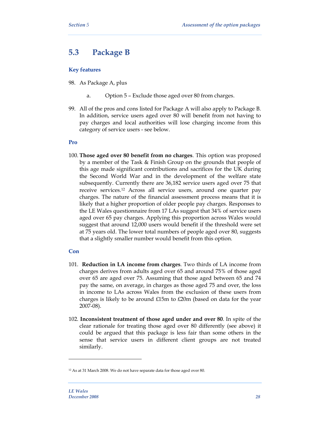# **5.3 Package B**

#### **Key features**

- 98. As Package A, plus
	- a. Option 5 Exclude those aged over 80 from charges.
- 99. All of the pros and cons listed for Package A will also apply to Package B. In addition, service users aged over 80 will benefit from not having to pay charges and local authorities will lose charging income from this category of service users - see below.

#### **Pro**

100. **Those aged over 80 benefit from no charges**. This option was proposed by a member of the Task & Finish Group on the grounds that people of this age made significant contributions and sacrifices for the UK during the Second World War and in the development of the welfare state subsequently. Currently there are 36,182 service users aged over 75 that receive services.12 Across all service users, around one quarter pay charges. The nature of the financial assessment process means that it is likely that a higher proportion of older people pay charges. Responses to the LE Wales questionnaire from 17 LAs suggest that 34% of service users aged over 65 pay charges. Applying this proportion across Wales would suggest that around 12,000 users would benefit if the threshold were set at 75 years old. The lower total numbers of people aged over 80, suggests that a slightly smaller number would benefit from this option.

#### **Con**

- 101. **Reduction in LA income from charges**. Two thirds of LA income from charges derives from adults aged over 65 and around 75% of those aged over 65 are aged over 75. Assuming that those aged between 65 and 74 pay the same, on average, in charges as those aged 75 and over, the loss in income to LAs across Wales from the exclusion of these users from charges is likely to be around £15m to £20m (based on data for the year 2007-08).
- 102. **Inconsistent treatment of those aged under and over 80**. In spite of the clear rationale for treating those aged over 80 differently (see above) it could be argued that this package is less fair than some others in the sense that service users in different client groups are not treated similarly.

<sup>12</sup> As at 31 March 2008. We do not have separate data for those aged over 80.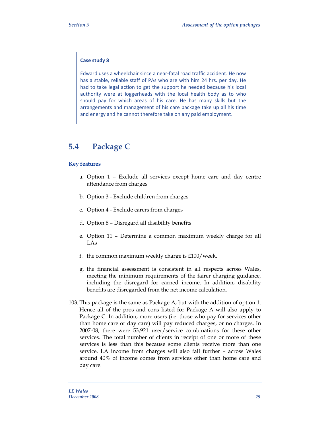#### **Case study 8**

Edward uses a wheelchair since a near‐fatal road traffic accident. He now has a stable, reliable staff of PAs who are with him 24 hrs. per day. He had to take legal action to get the support he needed because his local authority were at loggerheads with the local health body as to who should pay for which areas of his care. He has many skills but the arrangements and management of his care package take up all his time and energy and he cannot therefore take on any paid employment.

# **5.4 Package C**

#### **Key features**

- a. Option 1 Exclude all services except home care and day centre attendance from charges
- b. Option 3 Exclude children from charges
- c. Option 4 Exclude carers from charges
- d. Option 8 Disregard all disability benefits
- e. Option 11 Determine a common maximum weekly charge for all LAs
- f. the common maximum weekly charge is £100/week.
- g. the financial assessment is consistent in all respects across Wales, meeting the minimum requirements of the fairer charging guidance, including the disregard for earned income. In addition, disability benefits are disregarded from the net income calculation.
- 103. This package is the same as Package A, but with the addition of option 1. Hence all of the pros and cons listed for Package A will also apply to Package C. In addition, more users (i.e. those who pay for services other than home care or day care) will pay reduced charges, or no charges. In 2007-08, there were 53,921 user/service combinations for these other services. The total number of clients in receipt of one or more of these services is less than this because some clients receive more than one service. LA income from charges will also fall further – across Wales around 40% of income comes from services other than home care and day care.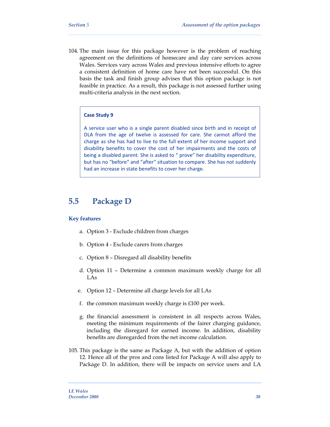104. The main issue for this package however is the problem of reaching agreement on the definitions of homecare and day care services across Wales. Services vary across Wales and previous intensive efforts to agree a consistent definition of home care have not been successful. On this basis the task and finish group advises that this option package is not feasible in practice. As a result, this package is not assessed further using multi-criteria analysis in the next section.

#### **Case Study 9**

A service user who is a single parent disabled since birth and in receipt of DLA from the age of twelve is assessed for care. She cannot afford the charge as she has had to live to the full extent of her income support and disability benefits to cover the cost of her impairments and the costs of being a disabled parent. She is asked to " prove" her disability expenditure, but has no "before" and "after" situation to compare. She has not suddenly had an increase in state benefits to cover her charge.

### **5.5 Package D**

#### **Key features**

- a. Option 3 Exclude children from charges
- b. Option 4 Exclude carers from charges
- c. Option 8 Disregard all disability benefits
- d. Option 11 Determine a common maximum weekly charge for all LAs
- e. Option 12 Determine all charge levels for all LAs
- f. the common maximum weekly charge is £100 per week.
- g. the financial assessment is consistent in all respects across Wales, meeting the minimum requirements of the fairer charging guidance, including the disregard for earned income. In addition, disability benefits are disregarded from the net income calculation.
- 105. This package is the same as Package A, but with the addition of option 12. Hence all of the pros and cons listed for Package A will also apply to Package D. In addition, there will be impacts on service users and LA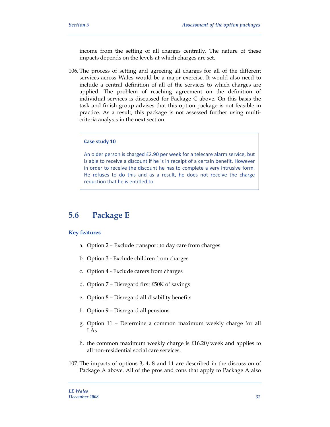income from the setting of all charges centrally. The nature of these impacts depends on the levels at which charges are set.

106. The process of setting and agreeing all charges for all of the different services across Wales would be a major exercise. It would also need to include a central definition of all of the services to which charges are applied. The problem of reaching agreement on the definition of individual services is discussed for Package C above. On this basis the task and finish group advises that this option package is not feasible in practice. As a result, this package is not assessed further using multicriteria analysis in the next section.

#### **Case study 10**

An older person is charged £2.90 per week for a telecare alarm service, but is able to receive a discount if he is in receipt of a certain benefit. However in order to receive the discount he has to complete a very intrusive form. He refuses to do this and as a result, he does not receive the charge reduction that he is entitled to.

# **5.6 Package E**

#### **Key features**

- a. Option 2 Exclude transport to day care from charges
- b. Option 3 Exclude children from charges
- c. Option 4 Exclude carers from charges
- d. Option 7 Disregard first £50K of savings
- e. Option 8 Disregard all disability benefits
- f. Option 9 Disregard all pensions
- g. Option 11 Determine a common maximum weekly charge for all LAs
- h. the common maximum weekly charge is £16.20/week and applies to all non-residential social care services.
- 107. The impacts of options 3, 4, 8 and 11 are described in the discussion of Package A above. All of the pros and cons that apply to Package A also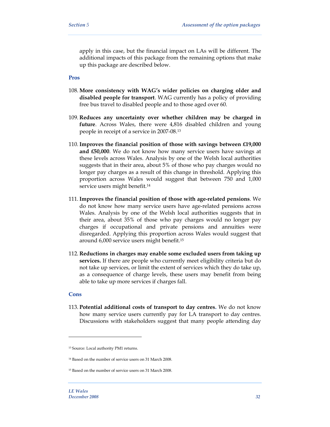apply in this case, but the financial impact on LAs will be different. The additional impacts of this package from the remaining options that make up this package are described below.

#### **Pros**

- 108. **More consistency with WAG's wider policies on charging older and disabled people for transport**. WAG currently has a policy of providing free bus travel to disabled people and to those aged over 60.
- 109. **Reduces any uncertainty over whether children may be charged in**  future. Across Wales, there were 4,816 disabled children and young people in receipt of a service in 2007-08.13
- 110. **Improves the financial position of those with savings between £19,000 and £50,000**. We do not know how many service users have savings at these levels across Wales. Analysis by one of the Welsh local authorities suggests that in their area, about 5% of those who pay charges would no longer pay charges as a result of this change in threshold. Applying this proportion across Wales would suggest that between 750 and 1,000 service users might benefit.<sup>14</sup>
- 111. **Improves the financial position of those with age-related pensions**. We do not know how many service users have age-related pensions across Wales. Analysis by one of the Welsh local authorities suggests that in their area, about 35% of those who pay charges would no longer pay charges if occupational and private pensions and annuities were disregarded. Applying this proportion across Wales would suggest that around 6,000 service users might benefit.15
- 112. **Reductions in charges may enable some excluded users from taking up services.** If there are people who currently meet eligibility criteria but do not take up services, or limit the extent of services which they do take up, as a consequence of charge levels, these users may benefit from being able to take up more services if charges fall.

#### **Cons**

 $\overline{a}$ 

113. **Potential additional costs of transport to day centres.** We do not know how many service users currently pay for LA transport to day centres. Discussions with stakeholders suggest that many people attending day

<sup>13</sup> Source: Local authority PM1 returns.

<sup>14</sup> Based on the number of service users on 31 March 2008.

<sup>15</sup> Based on the number of service users on 31 March 2008.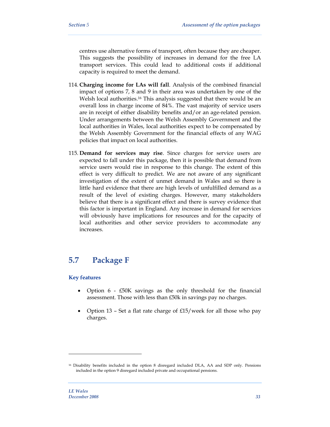centres use alternative forms of transport, often because they are cheaper. This suggests the possibility of increases in demand for the free LA transport services. This could lead to additional costs if additional capacity is required to meet the demand.

- 114. **Charging income for LAs will fall**. Analysis of the combined financial impact of options 7, 8 and 9 in their area was undertaken by one of the Welsh local authorities.16 This analysis suggested that there would be an overall loss in charge income of 84%. The vast majority of service users are in receipt of either disability benefits and/or an age-related pension. Under arrangements between the Welsh Assembly Government and the local authorities in Wales, local authorities expect to be compensated by the Welsh Assembly Government for the financial effects of any WAG policies that impact on local authorities.
- 115. **Demand for services may rise**. Since charges for service users are expected to fall under this package, then it is possible that demand from service users would rise in response to this change. The extent of this effect is very difficult to predict. We are not aware of any significant investigation of the extent of unmet demand in Wales and so there is little hard evidence that there are high levels of unfulfilled demand as a result of the level of existing charges. However, many stakeholders believe that there is a significant effect and there is survey evidence that this factor is important in England. Any increase in demand for services will obviously have implications for resources and for the capacity of local authorities and other service providers to accommodate any increases.

# **5.7 Package F**

#### **Key features**

- Option 6 £50K savings as the only threshold for the financial assessment. Those with less than £50k in savings pay no charges.
- Option 13 Set a flat rate charge of £15/week for all those who pay charges.

-

<sup>&</sup>lt;sup>16</sup> Disability benefits included in the option 8 disregard included DLA, AA and SDP only. Pensions included in the option 9 disregard included private and occupational pensions.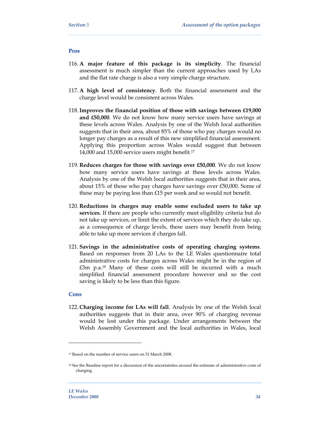#### **Pros**

- 116. **A major feature of this package is its simplicity**. The financial assessment is much simpler than the current approaches used by LAs and the flat rate charge is also a very simple charge structure.
- 117. **A high level of consistency**. Both the financial assessment and the charge level would be consistent across Wales.
- 118. **Improves the financial position of those with savings between £19,000 and £50,000**. We do not know how many service users have savings at these levels across Wales. Analysis by one of the Welsh local authorities suggests that in their area, about 85% of those who pay charges would no longer pay charges as a result of this new simplified financial assessment. Applying this proportion across Wales would suggest that between 14,000 and 15,000 service users might benefit.17
- 119. **Reduces charges for those with savings over £50,000**. We do not know how many service users have savings at these levels across Wales. Analysis by one of the Welsh local authorities suggests that in their area, about 15% of those who pay charges have savings over £50,000. Some of these may be paying less than £15 per week and so would not benefit.
- 120. **Reductions in charges may enable some excluded users to take up services.** If there are people who currently meet eligibility criteria but do not take up services, or limit the extent of services which they do take up, as a consequence of charge levels, these users may benefit from being able to take up more services if charges fall.
- 121. **Savings in the administrative costs of operating charging systems**. Based on responses from 20 LAs to the LE Wales questionnaire total administrative costs for charges across Wales might be in the region of £3m p.a.18 Many of these costs will still be incurred with a much simplified financial assessment procedure however and so the cost saving is likely to be less than this figure.

#### **Cons**

 $\overline{a}$ 

122. **Charging income for LAs will fall**. Analysis by one of the Welsh local authorities suggests that in their area, over 90% of charging revenue would be lost under this package. Under arrangements between the Welsh Assembly Government and the local authorities in Wales, local

<sup>17</sup> Based on the number of service users on 31 March 2008.

<sup>&</sup>lt;sup>18</sup> See the Baseline report for a discussion of the uncertainties around the estimate of administrative costs of charging.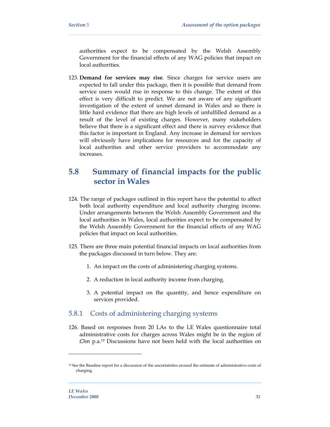authorities expect to be compensated by the Welsh Assembly Government for the financial effects of any WAG policies that impact on local authorities.

123. **Demand for services may rise**. Since charges for service users are expected to fall under this package, then it is possible that demand from service users would rise in response to this change. The extent of this effect is very difficult to predict. We are not aware of any significant investigation of the extent of unmet demand in Wales and so there is little hard evidence that there are high levels of unfulfilled demand as a result of the level of existing charges. However, many stakeholders believe that there is a significant effect and there is survey evidence that this factor is important in England. Any increase in demand for services will obviously have implications for resources and for the capacity of local authorities and other service providers to accommodate any increases.

# **5.8 Summary of financial impacts for the public sector in Wales**

- 124. The range of packages outlined in this report have the potential to affect both local authority expenditure and local authority charging income. Under arrangements between the Welsh Assembly Government and the local authorities in Wales, local authorities expect to be compensated by the Welsh Assembly Government for the financial effects of any WAG policies that impact on local authorities.
- 125. There are three main potential financial impacts on local authorities from the packages discussed in turn below. They are:
	- 1. An impact on the costs of administering charging systems.
	- 2. A reduction in local authority income from charging.
	- 3. A potential impact on the quantity, and hence expenditure on services provided.

### 5.8.1 Costs of administering charging systems

126. Based on responses from 20 LAs to the LE Wales questionnaire total administrative costs for charges across Wales might be in the region of £3m p.a.19 Discussions have not been held with the local authorities on

<sup>19</sup> See the Baseline report for a discussion of the uncertainties around the estimate of administrative costs of charging.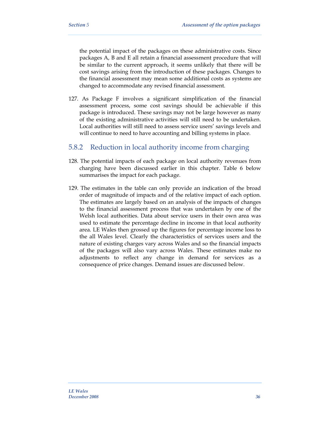the potential impact of the packages on these administrative costs. Since packages A, B and E all retain a financial assessment procedure that will be similar to the current approach, it seems unlikely that there will be cost savings arising from the introduction of these packages. Changes to the financial assessment may mean some additional costs as systems are changed to accommodate any revised financial assessment.

127. As Package F involves a significant simplification of the financial assessment process, some cost savings should be achievable if this package is introduced. These savings may not be large however as many of the existing administrative activities will still need to be undertaken. Local authorities will still need to assess service users' savings levels and will continue to need to have accounting and billing systems in place.

### 5.8.2 Reduction in local authority income from charging

- 128. The potential impacts of each package on local authority revenues from charging have been discussed earlier in this chapter. Table 6 below summarises the impact for each package.
- 129. The estimates in the table can only provide an indication of the broad order of magnitude of impacts and of the relative impact of each option. The estimates are largely based on an analysis of the impacts of changes to the financial assessment process that was undertaken by one of the Welsh local authorities. Data about service users in their own area was used to estimate the percentage decline in income in that local authority area. LE Wales then grossed up the figures for percentage income loss to the all Wales level. Clearly the characteristics of services users and the nature of existing charges vary across Wales and so the financial impacts of the packages will also vary across Wales. These estimates make no adjustments to reflect any change in demand for services as a consequence of price changes. Demand issues are discussed below.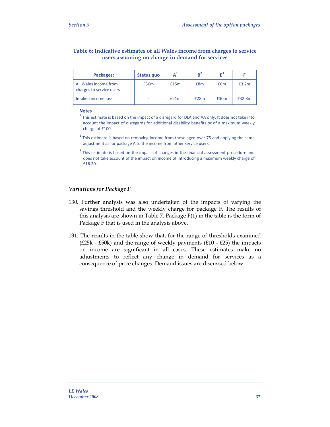#### **Table 6: Indicative estimates of all Wales income from charges to service users assuming no change in demand for services**

| Packages:                                         | Status quo |      | $B^2$ | F    |        |
|---------------------------------------------------|------------|------|-------|------|--------|
| All Wales income from<br>charges to service users | £36m       | £15m | £8m   | £6m  | £3.2m  |
| Implied income loss                               |            | £21m | £28m  | £30m | £32.8m |

#### **Notes**

 $1$  This estimate is based on the impact of a disregard for DLA and AA only. It does not take into account the impact of disregards for additional disability benefits or of a maximum weekly charge of £100.

 $2$  This estimate is based on removing income from those aged over 75 and applying the same adjustment as for package A to the income from other service users.

<sup>3</sup> This estimate is based on the impact of changes in the financial assessment procedure and does not take account of the impact on income of introducing a maximum weekly charge of £16.20.

#### *Variations for Package F*

- 130. Further analysis was also undertaken of the impacts of varying the savings threshold and the weekly charge for package F. The results of this analysis are shown in Table 7. Package F(1) in the table is the form of Package F that is used in the analysis above.
- 131. The results in the table show that, for the range of thresholds examined ( $£25k - £50k$ ) and the range of weekly payments ( $£10 - £25$ ) the impacts on income are significant in all cases. These estimates make no adjustments to reflect any change in demand for services as a consequence of price changes. Demand issues are discussed below.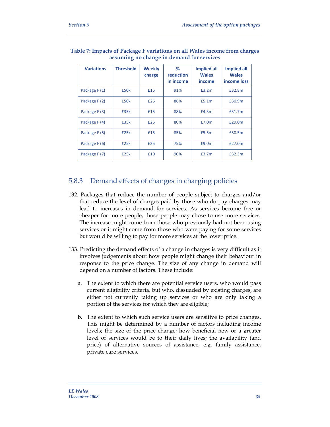| <b>Variations</b> | <b>Threshold</b> | <b>Weekly</b><br>charge | %<br>reduction<br>in income | <b>Implied all</b><br><b>Wales</b><br>income | <b>Implied all</b><br><b>Wales</b><br>income loss |
|-------------------|------------------|-------------------------|-----------------------------|----------------------------------------------|---------------------------------------------------|
| Package F (1)     | £50k             | £15                     | 91%                         | £3.2m                                        | £32.8m                                            |
| Package F (2)     | £50k             | £25                     | 86%                         | £5.1m                                        | £30.9m                                            |
| Package F (3)     | £35k             | £15                     | 88%                         | £4.3m                                        | £31.7m                                            |
| Package F (4)     | £35k             | £25                     | 80%                         | £7.0m                                        | £29.0m                                            |
| Package F (5)     | £25k             | £15                     | 85%                         | £5.5m                                        | £30.5m                                            |
| Package F (6)     | £25k             | £25                     | 75%                         | £9.0m                                        | £27.0m                                            |
| Package F (7)     | £25k             | £10                     | 90%                         | £3.7m                                        | £32.3m                                            |

#### **Table 7: Impacts of Package F variations on all Wales income from charges assuming no change in demand for services**

### 5.8.3 Demand effects of changes in charging policies

- 132. Packages that reduce the number of people subject to charges and/or that reduce the level of charges paid by those who do pay charges may lead to increases in demand for services. As services become free or cheaper for more people, those people may chose to use more services. The increase might come from those who previously had not been using services or it might come from those who were paying for some services but would be willing to pay for more services at the lower price.
- 133. Predicting the demand effects of a change in charges is very difficult as it involves judgements about how people might change their behaviour in response to the price change. The size of any change in demand will depend on a number of factors. These include:
	- a. The extent to which there are potential service users, who would pass current eligibility criteria, but who, dissuaded by existing charges, are either not currently taking up services or who are only taking a portion of the services for which they are eligible;
	- b. The extent to which such service users are sensitive to price changes. This might be determined by a number of factors including income levels; the size of the price change; how beneficial new or a greater level of services would be to their daily lives; the availability (and price) of alternative sources of assistance, e.g. family assistance, private care services.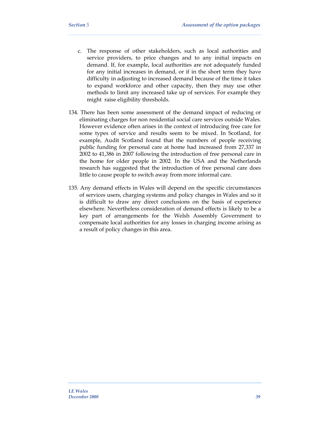- c. The response of other stakeholders, such as local authorities and service providers, to price changes and to any initial impacts on demand. If, for example, local authorities are not adequately funded for any initial increases in demand, or if in the short term they have difficulty in adjusting to increased demand because of the time it takes to expand workforce and other capacity, then they may use other methods to limit any increased take up of services. For example they might raise eligibility thresholds.
- 134. There has been some assessment of the demand impact of reducing or eliminating charges for non residential social care services outside Wales. However evidence often arises in the context of introducing free care for some types of service and results seem to be mixed. In Scotland, for example, Audit Scotland found that the numbers of people receiving public funding for personal care at home had increased from 27,337 in 2002 to 41,386 in 2007 following the introduction of free personal care in the home for older people in 2002. In the USA and the Netherlands research has suggested that the introduction of free personal care does little to cause people to switch away from more informal care.
- 135. Any demand effects in Wales will depend on the specific circumstances of services users, charging systems and policy changes in Wales and so it is difficult to draw any direct conclusions on the basis of experience elsewhere. Nevertheless consideration of demand effects is likely to be a key part of arrangements for the Welsh Assembly Government to compensate local authorities for any losses in charging income arising as a result of policy changes in this area.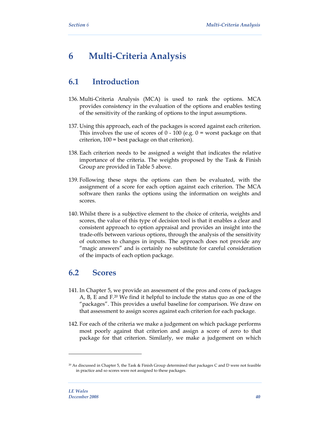# **6 Multi-Criteria Analysis**

# **6.1 Introduction**

- 136. Multi-Criteria Analysis (MCA) is used to rank the options. MCA provides consistency in the evaluation of the options and enables testing of the sensitivity of the ranking of options to the input assumptions.
- 137. Using this approach, each of the packages is scored against each criterion. This involves the use of scores of  $0 - 100$  (e.g.  $0 =$  worst package on that criterion, 100 = best package on that criterion).
- 138. Each criterion needs to be assigned a weight that indicates the relative importance of the criteria. The weights proposed by the Task & Finish Group are provided in Table 5 above.
- 139. Following these steps the options can then be evaluated, with the assignment of a score for each option against each criterion. The MCA software then ranks the options using the information on weights and scores.
- 140. Whilst there is a subjective element to the choice of criteria, weights and scores, the value of this type of decision tool is that it enables a clear and consistent approach to option appraisal and provides an insight into the trade-offs between various options, through the analysis of the sensitivity of outcomes to changes in inputs. The approach does not provide any "magic answers" and is certainly no substitute for careful consideration of the impacts of each option package.

# **6.2 Scores**

- 141. In Chapter 5, we provide an assessment of the pros and cons of packages A, B, E and F.20 We find it helpful to include the status quo as one of the "packages". This provides a useful baseline for comparison. We draw on that assessment to assign scores against each criterion for each package.
- 142. For each of the criteria we make a judgement on which package performs most poorly against that criterion and assign a score of zero to that package for that criterion. Similarly, we make a judgement on which

<sup>20</sup> As discussed in Chapter 5, the Task & Finish Group determined that packages C and D were not feasible in practice and so scores were not assigned to these packages.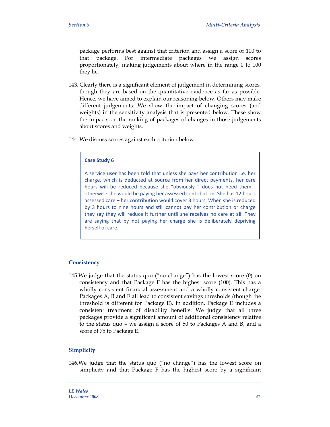package performs best against that criterion and assign a score of 100 to that package. For intermediate packages we assign scores proportionately, making judgements about where in the range 0 to 100 they lie.

- 143. Clearly there is a significant element of judgement in determining scores, though they are based on the quantitative evidence as far as possible. Hence, we have aimed to explain our reasoning below. Others may make different judgements. We show the impact of changing scores (and weights) in the sensitivity analysis that is presented below. These show the impacts on the ranking of packages of changes in those judgements about scores and weights.
- 144. We discuss scores against each criterion below.

#### **Case Study 6**

A service user has been told that unless she pays her contribution i.e. her charge, which is deducted at source from her direct payments, her care hours will be reduced because she "obviously " does not need them otherwise she would be paying her assessed contribution. She has 12 hours assessed care – her contribution would cover 3 hours. When she is reduced by 3 hours to nine hours and still cannot pay her contribution or charge they say they will reduce it further until she receives no care at all. They are saying that by not paying her charge she is deliberately depriving herself of care.

#### **Consistency**

145.We judge that the status quo ("no change") has the lowest score (0) on consistency and that Package F has the highest score (100). This has a wholly consistent financial assessment and a wholly consistent charge. Packages A, B and E all lead to consistent savings thresholds (though the threshold is different for Package E). In addition, Package E includes a consistent treatment of disability benefits. We judge that all three packages provide a significant amount of additional consistency relative to the status quo – we assign a score of 50 to Packages A and B, and a score of 75 to Package E.

#### **Simplicity**

146.We judge that the status quo ("no change") has the lowest score on simplicity and that Package F has the highest score by a significant

*LE Wales December 2008 41*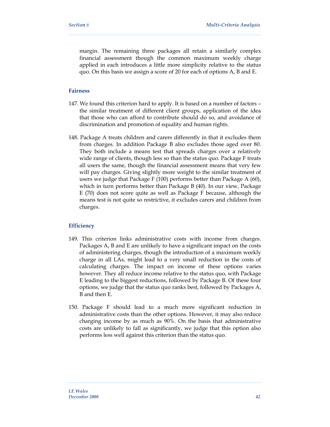margin. The remaining three packages all retain a similarly complex financial assessment though the common maximum weekly charge applied in each introduces a little more simplicity relative to the status quo. On this basis we assign a score of 20 for each of options A, B and E.

#### **Fairness**

- 147. We found this criterion hard to apply. It is based on a number of factors the similar treatment of different client groups, application of the idea that those who can afford to contribute should do so, and avoidance of discrimination and promotion of equality and human rights.
- 148. Package A treats children and carers differently in that it excludes them from charges. In addition Package B also excludes those aged over 80. They both include a means test that spreads charges over a relatively wide range of clients, though less so than the status quo. Package F treats all users the same, though the financial assessment means that very few will pay charges. Giving slightly more weight to the similar treatment of users we judge that Package F (100) performs better than Package A (60), which in turn performs better than Package B (40). In our view, Package E (70) does not score quite as well as Package F because, although the means test is not quite so restrictive, it excludes carers and children from charges.

#### **Efficiency**

- 149. This criterion links administrative costs with income from charges. Packages A, B and E are unlikely to have a significant impact on the costs of administering charges, though the introduction of a maximum weekly charge in all LAs, might lead to a very small reduction in the costs of calculating charges. The impact on income of these options varies however. They all reduce income relative to the status quo, with Package E leading to the biggest reductions, followed by Package B. Of these four options, we judge that the status quo ranks best, followed by Packages A, B and then E.
- 150. Package F should lead to a much more significant reduction in administrative costs than the other options. However, it may also reduce charging income by as much as 90%. On the basis that administrative costs are unlikely to fall as significantly, we judge that this option also performs less well against this criterion than the status quo.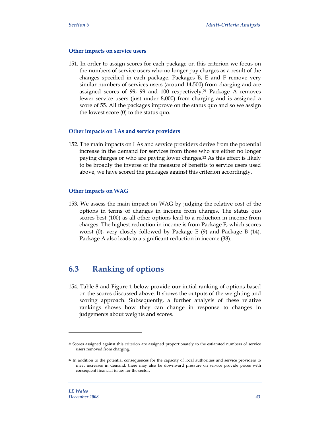#### **Other impacts on service users**

151. In order to assign scores for each package on this criterion we focus on the numbers of service users who no longer pay charges as a result of the changes specified in each package. Packages B, E and F remove very similar numbers of services users (around 14,500) from charging and are assigned scores of 99, 99 and 100 respectively.21 Package A removes fewer service users (just under 8,000) from charging and is assigned a score of 55. All the packages improve on the status quo and so we assign the lowest score (0) to the status quo.

#### **Other impacts on LAs and service providers**

152. The main impacts on LAs and service providers derive from the potential increase in the demand for services from those who are either no longer paying charges or who are paying lower charges.22 As this effect is likely to be broadly the inverse of the measure of benefits to service users used above, we have scored the packages against this criterion accordingly.

#### **Other impacts on WAG**

153. We assess the main impact on WAG by judging the relative cost of the options in terms of changes in income from charges. The status quo scores best (100) as all other options lead to a reduction in income from charges. The highest reduction in income is from Package F, which scores worst (0), very closely followed by Package E (9) and Package B (14). Package A also leads to a significant reduction in income (38).

# **6.3 Ranking of options**

154. Table 8 and Figure 1 below provide our initial ranking of options based on the scores discussed above. It shows the outputs of the weighting and scoring approach. Subsequently, a further analysis of these relative rankings shows how they can change in response to changes in judgements about weights and scores.

<sup>&</sup>lt;sup>21</sup> Scores assigned against this criterion are assigned proportionately to the estiamted numbers of service users removed from charging.

<sup>&</sup>lt;sup>22</sup> In addition to the potential consequences for the capacity of local authorities and service providers to meet increases in demand, there may also be downward pressure on service provide prices with consequent financial issues for the sector.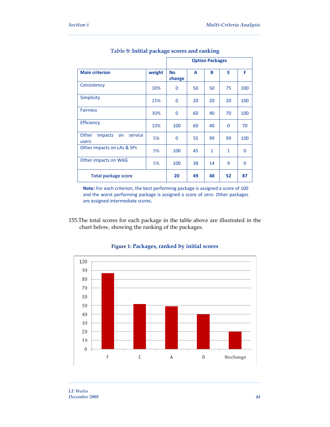|                                            |        | <b>Option Packages</b> |    |              |              |                |
|--------------------------------------------|--------|------------------------|----|--------------|--------------|----------------|
| <b>Main criterion</b>                      | weight | <b>No</b><br>change    | A  | в            | E            | F              |
| Consistency                                | 30%    | 0                      | 50 | 50           | 75           | 100            |
| <b>Simplicity</b>                          | 15%    | 0                      | 20 | 20           | 20           | 100            |
| <b>Fairness</b>                            | 30%    | 0                      | 60 | 40           | 70           | 100            |
| <b>Efficiency</b>                          | 10%    | 100                    | 60 | 40           | $\mathbf{0}$ | 70             |
| impacts<br>Other<br>service<br>on<br>users | 5%     | 0                      | 55 | 99           | 99           | 100            |
| Other impacts on LAs & SPs                 | 5%     | 100                    | 45 | $\mathbf{1}$ | 1            | 0              |
| Other impacts on WAG                       | 5%     | 100                    | 38 | 14           | 9            | $\overline{0}$ |
| <b>Total package score</b>                 |        | 20                     | 49 | 40           | 52           | 87             |

#### **Table 8: Initial package scores and ranking**

**Note:** For each criterion, the best performing package is assigned a score of 100 and the worst performing package is assigned a score of zero. Other packages are assigned intermediate scores.

155.The total scores for each package in the table above are illustrated in the chart below, showing the ranking of the packages.



#### **Figure 1: Packages, ranked by initial scores**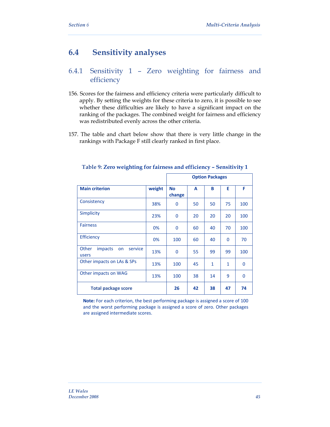# **6.4 Sensitivity analyses**

# 6.4.1 Sensitivity 1 – Zero weighting for fairness and efficiency

- 156. Scores for the fairness and efficiency criteria were particularly difficult to apply. By setting the weights for these criteria to zero, it is possible to see whether these difficulties are likely to have a significant impact on the ranking of the packages. The combined weight for fairness and efficiency was redistributed evenly across the other criteria.
- 157. The table and chart below show that there is very little change in the rankings with Package F still clearly ranked in first place.

|                                                   |        | <b>Option Packages</b> |    |              |             |          |
|---------------------------------------------------|--------|------------------------|----|--------------|-------------|----------|
|                                                   |        |                        |    |              |             |          |
| <b>Main criterion</b>                             | weight | <b>No</b><br>change    | A  | в            | E           | F        |
| Consistency                                       | 38%    | 0                      | 50 | 50           | 75          | 100      |
| <b>Simplicity</b>                                 | 23%    | 0                      | 20 | 20           | 20          | 100      |
| <b>Fairness</b>                                   | 0%     | 0                      | 60 | 40           | 70          | 100      |
| Efficiency                                        | 0%     | 100                    | 60 | 40           | $\mathbf 0$ | 70       |
| Other<br><i>impacts</i><br>service<br>on<br>users | 13%    | 0                      | 55 | 99           | 99          | 100      |
| Other impacts on LAs & SPs                        | 13%    | 100                    | 45 | $\mathbf{1}$ | 1           | $\Omega$ |
| Other impacts on WAG                              | 13%    | 100                    | 38 | 14           | 9           | 0        |
| <b>Total package score</b>                        |        | 26                     | 42 | 38           | 47          | 74       |

#### **Table 9: Zero weighting for fairness and efficiency – Sensitivity 1**

**Note:** For each criterion, the best performing package is assigned a score of 100 and the worst performing package is assigned a score of zero. Other packages are assigned intermediate scores.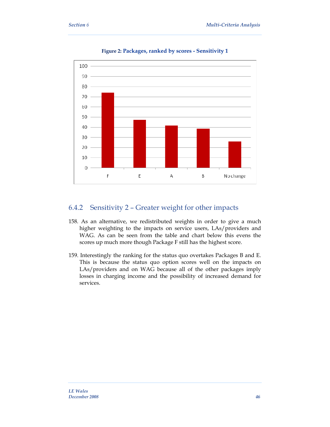

**Figure 2: Packages, ranked by scores - Sensitivity 1** 

### 6.4.2 Sensitivity 2 – Greater weight for other impacts

- 158. As an alternative, we redistributed weights in order to give a much higher weighting to the impacts on service users, LAs/providers and WAG. As can be seen from the table and chart below this evens the scores up much more though Package F still has the highest score.
- 159. Interestingly the ranking for the status quo overtakes Packages B and E. This is because the status quo option scores well on the impacts on LAs/providers and on WAG because all of the other packages imply losses in charging income and the possibility of increased demand for services.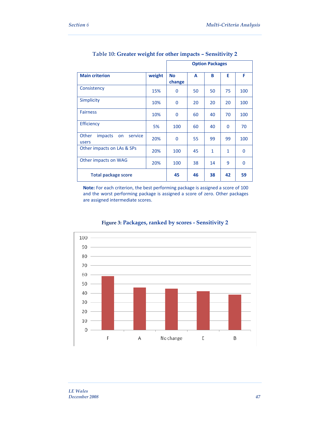|                                                   |        | <b>Option Packages</b> |    |    |          |          |
|---------------------------------------------------|--------|------------------------|----|----|----------|----------|
| <b>Main criterion</b>                             | weight | <b>No</b><br>change    | A  | в  | E        | F        |
| Consistency                                       | 15%    | $\Omega$               | 50 | 50 | 75       | 100      |
| <b>Simplicity</b>                                 | 10%    | $\Omega$               | 20 | 20 | 20       | 100      |
| <b>Fairness</b>                                   | 10%    | 0                      | 60 | 40 | 70       | 100      |
| <b>Efficiency</b>                                 | 5%     | 100                    | 60 | 40 | $\Omega$ | 70       |
| Other<br><i>impacts</i><br>service<br>on<br>users | 20%    | $\Omega$               | 55 | 99 | 99       | 100      |
| Other impacts on LAs & SPs                        | 20%    | 100                    | 45 | 1  | 1        | 0        |
| Other impacts on WAG                              | 20%    | 100                    | 38 | 14 | 9        | $\Omega$ |
| <b>Total package score</b>                        |        | 45                     | 46 | 38 | 42       | 59       |

### **Table 10: Greater weight for other impacts – Sensitivity 2**

**Note:** For each criterion, the best performing package is assigned a score of 100 and the worst performing package is assigned a score of zero. Other packages are assigned intermediate scores.



#### **Figure 3: Packages, ranked by scores - Sensitivity 2**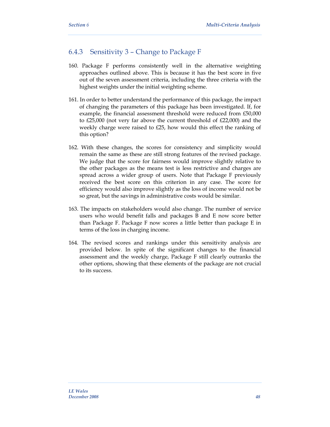### 6.4.3 Sensitivity 3 – Change to Package F

- 160. Package F performs consistently well in the alternative weighting approaches outlined above. This is because it has the best score in five out of the seven assessment criteria, including the three criteria with the highest weights under the initial weighting scheme.
- 161. In order to better understand the performance of this package, the impact of changing the parameters of this package has been investigated. If, for example, the financial assessment threshold were reduced from £50,000 to £25,000 (not very far above the current threshold of £22,000) and the weekly charge were raised to £25, how would this effect the ranking of this option?
- 162. With these changes, the scores for consistency and simplicity would remain the same as these are still strong features of the revised package. We judge that the score for fairness would improve slightly relative to the other packages as the means test is less restrictive and charges are spread across a wider group of users. Note that Package F previously received the best score on this criterion in any case. The score for efficiency would also improve slightly as the loss of income would not be so great, but the savings in administrative costs would be similar.
- 163. The impacts on stakeholders would also change. The number of service users who would benefit falls and packages B and E now score better than Package F. Package F now scores a little better than package E in terms of the loss in charging income.
- 164. The revised scores and rankings under this sensitivity analysis are provided below. In spite of the significant changes to the financial assessment and the weekly charge, Package F still clearly outranks the other options, showing that these elements of the package are not crucial to its success.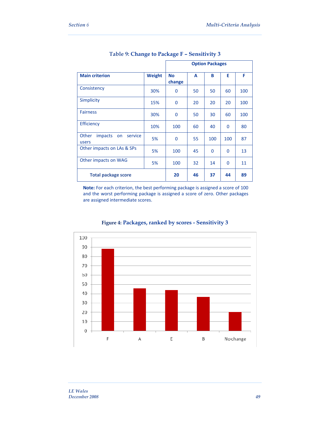|                                                   |               | <b>Option Packages</b> |    |             |          |     |
|---------------------------------------------------|---------------|------------------------|----|-------------|----------|-----|
| <b>Main criterion</b>                             | <b>Weight</b> | <b>No</b><br>change    | A  | в           | E        | F   |
| Consistency                                       | 30%           | 0                      | 50 | 50          | 60       | 100 |
| <b>Simplicity</b>                                 | 15%           | 0                      | 20 | 20          | 20       | 100 |
| <b>Fairness</b>                                   | 30%           | $\Omega$               | 50 | 30          | 60       | 100 |
| <b>Efficiency</b>                                 | 10%           | 100                    | 60 | 40          | $\Omega$ | 80  |
| Other<br><i>impacts</i><br>service<br>on<br>users | 5%            | 0                      | 55 | 100         | 100      | 87  |
| Other impacts on LAs & SPs                        | 5%            | 100                    | 45 | $\mathbf 0$ | $\Omega$ | 13  |
| Other impacts on WAG                              | 5%            | 100                    | 32 | 14          | $\Omega$ | 11  |
| <b>Total package score</b>                        |               | 20                     | 46 | 37          | 44       | 89  |

### **Table 9: Change to Package F – Sensitivity 3**

**Note:** For each criterion, the best performing package is assigned a score of 100 and the worst performing package is assigned a score of zero. Other packages are assigned intermediate scores.



### **Figure 4: Packages, ranked by scores - Sensitivity 3**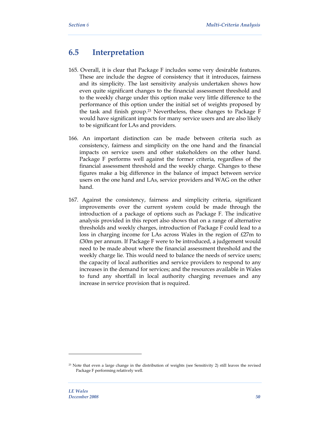# **6.5 Interpretation**

- 165. Overall, it is clear that Package F includes some very desirable features. These are include the degree of consistency that it introduces, fairness and its simplicity. The last sensitivity analysis undertaken shows how even quite significant changes to the financial assessment threshold and to the weekly charge under this option make very little difference to the performance of this option under the initial set of weights proposed by the task and finish group.23 Nevertheless, these changes to Package F would have significant impacts for many service users and are also likely to be significant for LAs and providers.
- 166. An important distinction can be made between criteria such as consistency, fairness and simplicity on the one hand and the financial impacts on service users and other stakeholders on the other hand. Package F performs well against the former criteria, regardless of the financial assessment threshold and the weekly charge. Changes to these figures make a big difference in the balance of impact between service users on the one hand and LAs, service providers and WAG on the other hand.
- 167. Against the consistency, fairness and simplicity criteria, significant improvements over the current system could be made through the introduction of a package of options such as Package F. The indicative analysis provided in this report also shows that on a range of alternative thresholds and weekly charges, introduction of Package F could lead to a loss in charging income for LAs across Wales in the region of £27m to £30m per annum. If Package F were to be introduced, a judgement would need to be made about where the financial assessment threshold and the weekly charge lie. This would need to balance the needs of service users; the capacity of local authorities and service providers to respond to any increases in the demand for services; and the resources available in Wales to fund any shortfall in local authority charging revenues and any increase in service provision that is required.

<sup>23</sup> Note that even a large change in the distribution of weights (see Sensitivity 2) still leaves the revised Package F performing relatively well.